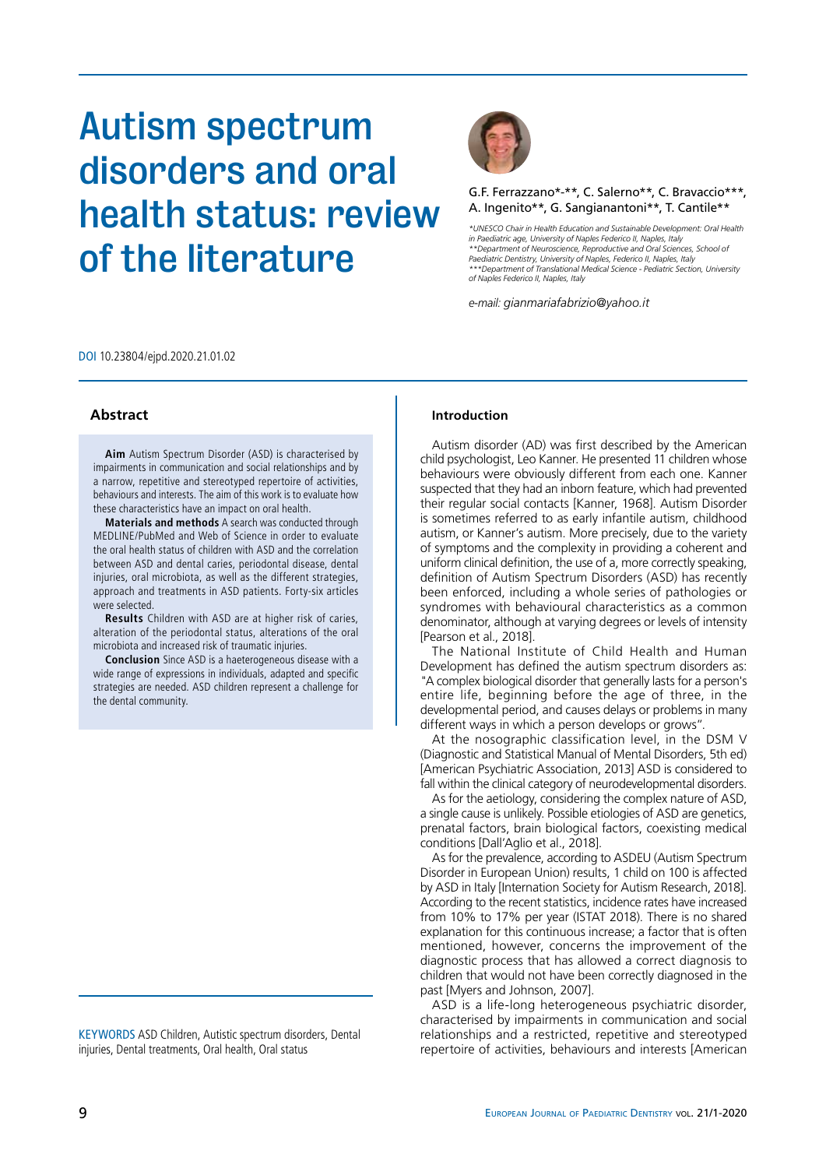# Autism spectrum disorders and oral health status: review of the literature



## G.F. Ferrazzano\*-\*\*, C. Salerno\*\*, C. Bravaccio\*\*\*, A. Ingenito\*\*, G. Sangianantoni\*\*, T. Cantile\*\*

*\*UNESCO Chair in Health Education and Sustainable Development: Oral Health in Paediatric age, University of Naples Federico II, Naples, Italy \*\*Department of Neuroscience, Reproductive and Oral Sciences, School of Paediatric Dentistry, University of Naples, Federico II, Naples, Italy \*\*\*Department of Translational Medical Science - Pediatric Section, University of Naples Federico II, Naples, Italy*

*e-mail: gianmariafabrizio@yahoo.it*

DOI 10.23804/ejpd.2020.21.01.02

**Aim** Autism Spectrum Disorder (ASD) is characterised by impairments in communication and social relationships and by a narrow, repetitive and stereotyped repertoire of activities, behaviours and interests. The aim of this work is to evaluate how these characteristics have an impact on oral health.

**Materials and methods** A search was conducted through MEDLINE/PubMed and Web of Science in order to evaluate the oral health status of children with ASD and the correlation between ASD and dental caries, periodontal disease, dental injuries, oral microbiota, as well as the different strategies, approach and treatments in ASD patients. Forty-six articles were selected.

**Results** Children with ASD are at higher risk of caries, alteration of the periodontal status, alterations of the oral microbiota and increased risk of traumatic injuries.

**Conclusion** Since ASD is a haeterogeneous disease with a wide range of expressions in individuals, adapted and specific strategies are needed. ASD children represent a challenge for the dental community.

KEYWORDS ASD Children, Autistic spectrum disorders, Dental injuries, Dental treatments, Oral health, Oral status

#### Abstract **Introduction**

Autism disorder (AD) was first described by the American child psychologist, Leo Kanner. He presented 11 children whose behaviours were obviously different from each one. Kanner suspected that they had an inborn feature, which had prevented their regular social contacts [Kanner, 1968]. Autism Disorder is sometimes referred to as early infantile autism, childhood autism, or Kanner's autism. More precisely, due to the variety of symptoms and the complexity in providing a coherent and uniform clinical definition, the use of a, more correctly speaking, definition of Autism Spectrum Disorders (ASD) has recently been enforced, including a whole series of pathologies or syndromes with behavioural characteristics as a common denominator, although at varying degrees or levels of intensity [Pearson et al., 2018].

The National Institute of Child Health and Human Development has defined the autism spectrum disorders as: "A complex biological disorder that generally lasts for a person's entire life, beginning before the age of three, in the developmental period, and causes delays or problems in many different ways in which a person develops or grows".

At the nosographic classification level, in the DSM V (Diagnostic and Statistical Manual of Mental Disorders, 5th ed) [American Psychiatric Association, 2013] ASD is considered to fall within the clinical category of neurodevelopmental disorders.

As for the aetiology, considering the complex nature of ASD, a single cause is unlikely. Possible etiologies of ASD are genetics, prenatal factors, brain biological factors, coexisting medical conditions [Dall'Aglio et al., 2018].

As for the prevalence, according to ASDEU (Autism Spectrum Disorder in European Union) results, 1 child on 100 is affected by ASD in Italy [Internation Society for Autism Research, 2018]. According to the recent statistics, incidence rates have increased from 10% to 17% per year (ISTAT 2018). There is no shared explanation for this continuous increase; a factor that is often mentioned, however, concerns the improvement of the diagnostic process that has allowed a correct diagnosis to children that would not have been correctly diagnosed in the past [Myers and Johnson, 2007].

ASD is a life-long heterogeneous psychiatric disorder, characterised by impairments in communication and social relationships and a restricted, repetitive and stereotyped repertoire of activities, behaviours and interests [American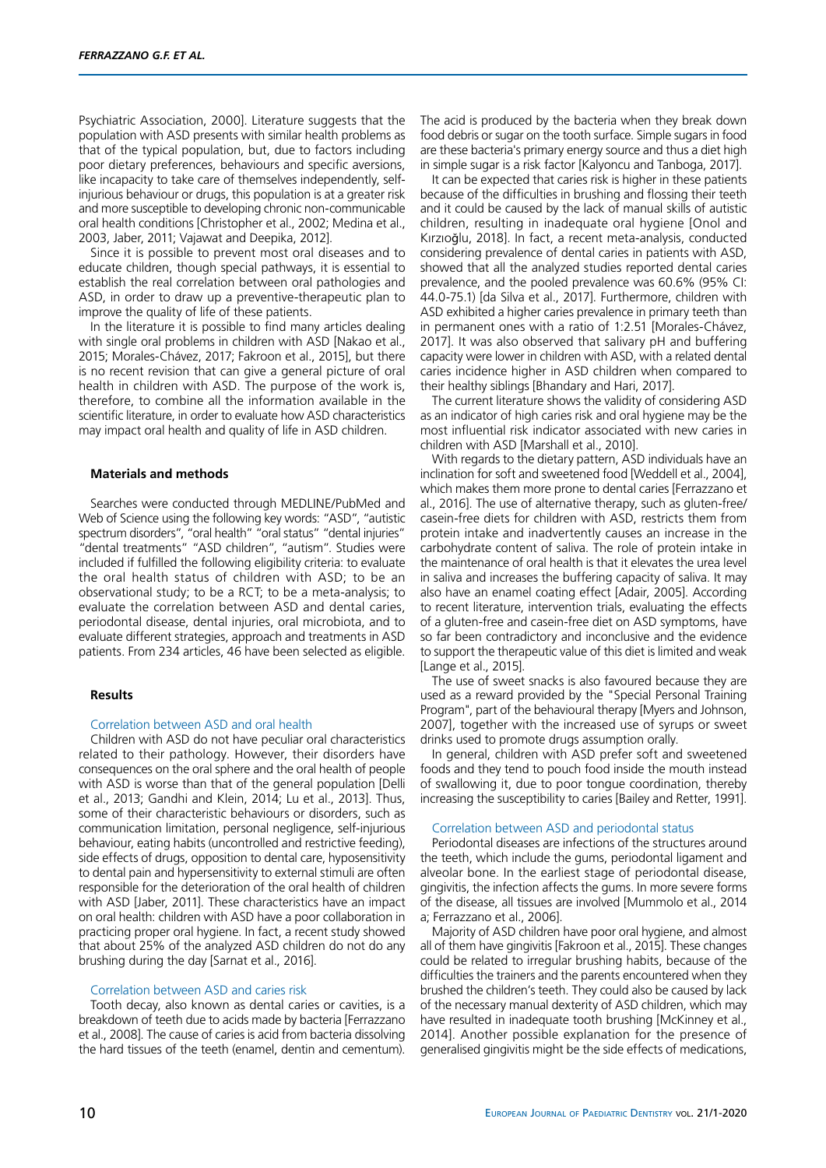Psychiatric Association, 2000]. Literature suggests that the population with ASD presents with similar health problems as that of the typical population, but, due to factors including poor dietary preferences, behaviours and specific aversions, like incapacity to take care of themselves independently, selfinjurious behaviour or drugs, this population is at a greater risk and more susceptible to developing chronic non-communicable oral health conditions [Christopher et al., 2002; Medina et al., 2003, Jaber, 2011; Vajawat and Deepika, 2012].

Since it is possible to prevent most oral diseases and to educate children, though special pathways, it is essential to establish the real correlation between oral pathologies and ASD, in order to draw up a preventive-therapeutic plan to improve the quality of life of these patients.

In the literature it is possible to find many articles dealing with single oral problems in children with ASD [Nakao et al., 2015; Morales-Chávez, 2017; Fakroon et al., 2015], but there is no recent revision that can give a general picture of oral health in children with ASD. The purpose of the work is, therefore, to combine all the information available in the scientific literature, in order to evaluate how ASD characteristics may impact oral health and quality of life in ASD children.

#### **Materials and methods**

Searches were conducted through MEDLINE/PubMed and Web of Science using the following key words: "ASD", "autistic spectrum disorders", "oral health" "oral status" "dental injuries" "dental treatments" "ASD children", "autism". Studies were included if fulfilled the following eligibility criteria: to evaluate the oral health status of children with ASD; to be an observational study; to be a RCT; to be a meta-analysis; to evaluate the correlation between ASD and dental caries, periodontal disease, dental injuries, oral microbiota, and to evaluate different strategies, approach and treatments in ASD patients. From 234 articles, 46 have been selected as eligible.

#### **Results**

#### Correlation between ASD and oral health

Children with ASD do not have peculiar oral characteristics related to their pathology. However, their disorders have consequences on the oral sphere and the oral health of people with ASD is worse than that of the general population [Delli et al., 2013; Gandhi and Klein, 2014; Lu et al., 2013]. Thus, some of their characteristic behaviours or disorders, such as communication limitation, personal negligence, self-injurious behaviour, eating habits (uncontrolled and restrictive feeding), side effects of drugs, opposition to dental care, hyposensitivity to dental pain and hypersensitivity to external stimuli are often responsible for the deterioration of the oral health of children with ASD [Jaber, 2011]. These characteristics have an impact on oral health: children with ASD have a poor collaboration in practicing proper oral hygiene. In fact, a recent study showed that about 25% of the analyzed ASD children do not do any brushing during the day [Sarnat et al., 2016].

#### Correlation between ASD and caries risk

Tooth decay, also known as dental caries or cavities, is a breakdown of teeth due to acids made by bacteria [Ferrazzano et al., 2008]. The cause of caries is acid from bacteria dissolving the hard tissues of the teeth (enamel, dentin and cementum).

The acid is produced by the bacteria when they break down food debris or sugar on the tooth surface. Simple sugars in food are these bacteria's primary energy source and thus a diet high in simple sugar is a risk factor [Kalyoncu and Tanboga, 2017].

It can be expected that caries risk is higher in these patients because of the difficulties in brushing and flossing their teeth and it could be caused by the lack of manual skills of autistic children, resulting in inadequate oral hygiene [Onol and Kırzıoğlu, 2018]. In fact, a recent meta-analysis, conducted considering prevalence of dental caries in patients with ASD, showed that all the analyzed studies reported dental caries prevalence, and the pooled prevalence was 60.6% (95% CI: 44.0-75.1) [da Silva et al., 2017]. Furthermore, children with ASD exhibited a higher caries prevalence in primary teeth than in permanent ones with a ratio of 1:2.51 [Morales-Chávez, 2017]. It was also observed that salivary pH and buffering capacity were lower in children with ASD, with a related dental caries incidence higher in ASD children when compared to their healthy siblings [Bhandary and Hari, 2017].

The current literature shows the validity of considering ASD as an indicator of high caries risk and oral hygiene may be the most influential risk indicator associated with new caries in children with ASD [Marshall et al., 2010].

With regards to the dietary pattern, ASD individuals have an inclination for soft and sweetened food [Weddell et al., 2004], which makes them more prone to dental caries [Ferrazzano et al., 2016]. The use of alternative therapy, such as gluten-free/ casein-free diets for children with ASD, restricts them from protein intake and inadvertently causes an increase in the carbohydrate content of saliva. The role of protein intake in the maintenance of oral health is that it elevates the urea level in saliva and increases the buffering capacity of saliva. It may also have an enamel coating effect [Adair, 2005]. According to recent literature, intervention trials, evaluating the effects of a gluten-free and casein-free diet on ASD symptoms, have so far been contradictory and inconclusive and the evidence to support the therapeutic value of this diet is limited and weak [Lange et al., 2015].

The use of sweet snacks is also favoured because they are used as a reward provided by the "Special Personal Training Program", part of the behavioural therapy [Myers and Johnson, 2007], together with the increased use of syrups or sweet drinks used to promote drugs assumption orally.

In general, children with ASD prefer soft and sweetened foods and they tend to pouch food inside the mouth instead of swallowing it, due to poor tongue coordination, thereby increasing the susceptibility to caries [Bailey and Retter, 1991].

#### Correlation between ASD and periodontal status

Periodontal diseases are infections of the structures around the teeth, which include the gums, periodontal ligament and alveolar bone. In the earliest stage of periodontal disease, gingivitis, the infection affects the gums. In more severe forms of the disease, all tissues are involved [Mummolo et al., 2014 a; Ferrazzano et al., 2006].

Majority of ASD children have poor oral hygiene, and almost all of them have gingivitis [Fakroon et al., 2015]. These changes could be related to irregular brushing habits, because of the difficulties the trainers and the parents encountered when they brushed the children's teeth. They could also be caused by lack of the necessary manual dexterity of ASD children, which may have resulted in inadequate tooth brushing [McKinney et al., 2014]. Another possible explanation for the presence of generalised gingivitis might be the side effects of medications,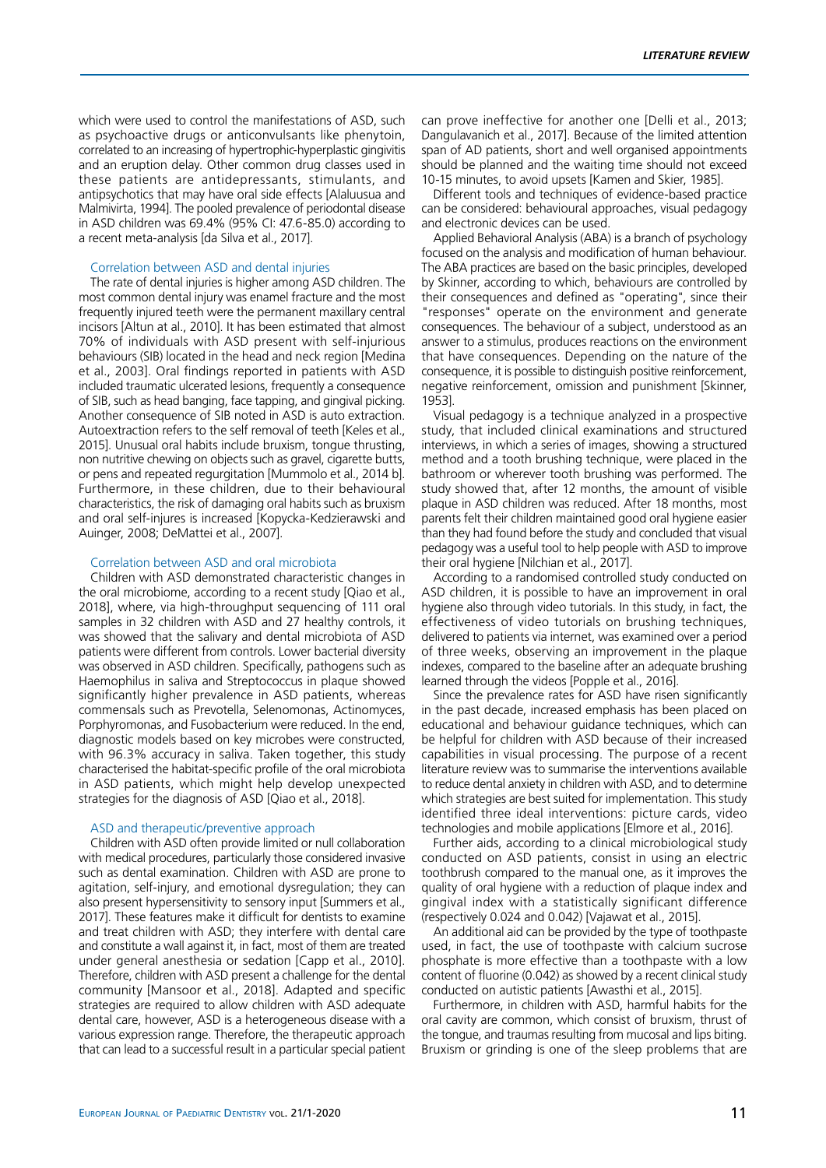which were used to control the manifestations of ASD, such as psychoactive drugs or anticonvulsants like phenytoin, correlated to an increasing of hypertrophic-hyperplastic gingivitis and an eruption delay. Other common drug classes used in these patients are antidepressants, stimulants, and antipsychotics that may have oral side effects [Alaluusua and Malmivirta, 1994]. The pooled prevalence of periodontal disease in ASD children was 69.4% (95% CI: 47.6-85.0) according to a recent meta-analysis [da Silva et al., 2017].

### Correlation between ASD and dental injuries

The rate of dental injuries is higher among ASD children. The most common dental injury was enamel fracture and the most frequently injured teeth were the permanent maxillary central incisors [Altun at al., 2010]. It has been estimated that almost 70% of individuals with ASD present with self-injurious behaviours (SIB) located in the head and neck region [Medina et al., 2003]. Oral findings reported in patients with ASD included traumatic ulcerated lesions, frequently a consequence of SIB, such as head banging, face tapping, and gingival picking. Another consequence of SIB noted in ASD is auto extraction. Autoextraction refers to the self removal of teeth [Keles et al., 2015]. Unusual oral habits include bruxism, tongue thrusting, non nutritive chewing on objects such as gravel, cigarette butts, or pens and repeated regurgitation [Mummolo et al., 2014 b]. Furthermore, in these children, due to their behavioural characteristics, the risk of damaging oral habits such as bruxism and oral self-injures is increased [Kopycka-Kedzierawski and Auinger, 2008; DeMattei et al., 2007].

#### Correlation between ASD and oral microbiota

Children with ASD demonstrated characteristic changes in the oral microbiome, according to a recent study [Qiao et al., 2018], where, via high-throughput sequencing of 111 oral samples in 32 children with ASD and 27 healthy controls, it was showed that the salivary and dental microbiota of ASD patients were different from controls. Lower bacterial diversity was observed in ASD children. Specifically, pathogens such as Haemophilus in saliva and Streptococcus in plaque showed significantly higher prevalence in ASD patients, whereas commensals such as Prevotella, Selenomonas, Actinomyces, Porphyromonas, and Fusobacterium were reduced. In the end, diagnostic models based on key microbes were constructed, with 96.3% accuracy in saliva. Taken together, this study characterised the habitat-specific profile of the oral microbiota in ASD patients, which might help develop unexpected strategies for the diagnosis of ASD [Qiao et al., 2018].

#### ASD and therapeutic/preventive approach

Children with ASD often provide limited or null collaboration with medical procedures, particularly those considered invasive such as dental examination. Children with ASD are prone to agitation, self-injury, and emotional dysregulation; they can also present hypersensitivity to sensory input [Summers et al., 2017]. These features make it difficult for dentists to examine and treat children with ASD; they interfere with dental care and constitute a wall against it, in fact, most of them are treated under general anesthesia or sedation [Capp et al., 2010]. Therefore, children with ASD present a challenge for the dental community [Mansoor et al., 2018]. Adapted and specific strategies are required to allow children with ASD adequate dental care, however, ASD is a heterogeneous disease with a various expression range. Therefore, the therapeutic approach that can lead to a successful result in a particular special patient can prove ineffective for another one [Delli et al., 2013; Dangulavanich et al., 2017]. Because of the limited attention span of AD patients, short and well organised appointments should be planned and the waiting time should not exceed 10-15 minutes, to avoid upsets [Kamen and Skier, 1985].

Different tools and techniques of evidence-based practice can be considered: behavioural approaches, visual pedagogy and electronic devices can be used.

Applied Behavioral Analysis (ABA) is a branch of psychology focused on the analysis and modification of human behaviour. The ABA practices are based on the basic principles, developed by Skinner, according to which, behaviours are controlled by their consequences and defined as "operating", since their "responses" operate on the environment and generate consequences. The behaviour of a subject, understood as an answer to a stimulus, produces reactions on the environment that have consequences. Depending on the nature of the consequence, it is possible to distinguish positive reinforcement, negative reinforcement, omission and punishment [Skinner, 1953].

Visual pedagogy is a technique analyzed in a prospective study, that included clinical examinations and structured interviews, in which a series of images, showing a structured method and a tooth brushing technique, were placed in the bathroom or wherever tooth brushing was performed. The study showed that, after 12 months, the amount of visible plaque in ASD children was reduced. After 18 months, most parents felt their children maintained good oral hygiene easier than they had found before the study and concluded that visual pedagogy was a useful tool to help people with ASD to improve their oral hygiene [Nilchian et al., 2017].

According to a randomised controlled study conducted on ASD children, it is possible to have an improvement in oral hygiene also through video tutorials. In this study, in fact, the effectiveness of video tutorials on brushing techniques, delivered to patients via internet, was examined over a period of three weeks, observing an improvement in the plaque indexes, compared to the baseline after an adequate brushing learned through the videos [Popple et al., 2016].

Since the prevalence rates for ASD have risen significantly in the past decade, increased emphasis has been placed on educational and behaviour guidance techniques, which can be helpful for children with ASD because of their increased capabilities in visual processing. The purpose of a recent literature review was to summarise the interventions available to reduce dental anxiety in children with ASD, and to determine which strategies are best suited for implementation. This study identified three ideal interventions: picture cards, video technologies and mobile applications [Elmore et al., 2016].

Further aids, according to a clinical microbiological study conducted on ASD patients, consist in using an electric toothbrush compared to the manual one, as it improves the quality of oral hygiene with a reduction of plaque index and gingival index with a statistically significant difference (respectively 0.024 and 0.042) [Vajawat et al., 2015].

An additional aid can be provided by the type of toothpaste used, in fact, the use of toothpaste with calcium sucrose phosphate is more effective than a toothpaste with a low content of fluorine (0.042) as showed by a recent clinical study conducted on autistic patients [Awasthi et al., 2015].

Furthermore, in children with ASD, harmful habits for the oral cavity are common, which consist of bruxism, thrust of the tongue, and traumas resulting from mucosal and lips biting. Bruxism or grinding is one of the sleep problems that are